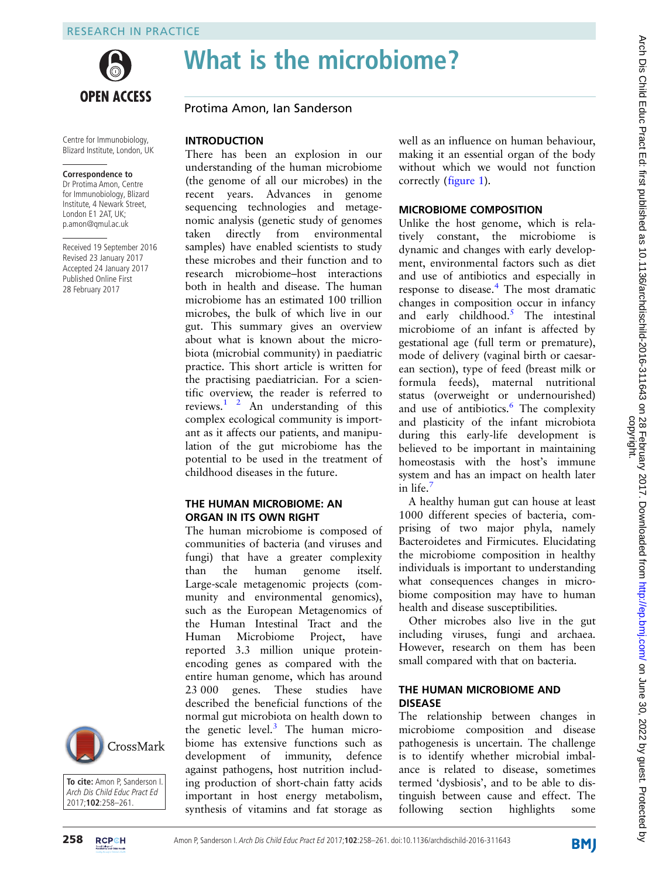

# What is the microbiome?

#### Protima Amon, Ian Sanderson

#### Centre for Immunobiology, **INTRODUCTION** Blizard Institute, London, UK

#### **Correspondence to**

Dr Protima Amon, Centre for Immunobiology, Blizard Institute, 4 Newark Street, London E1 2AT, UK: p.amon@qmul.ac.uk

Received 19 September 2016 Revised 23 January 2017 Accepted 24 January 2017 Published Online First 28 February 2017

There has been an explosion in our understanding of the human microbiome (the genome of all our microbes) in the recent years. Advances in genome sequencing technologies and metagenomic analysis (genetic study of genomes taken directly from environmental samples) have enabled scientists to study these microbes and their function and to research microbiome–host interactions both in health and disease. The human microbiome has an estimated 100 trillion microbes, the bulk of which live in our gut. This summary gives an overview about what is known about the microbiota (microbial community) in paediatric practice. This short article is written for the practising paediatrician. For a scientific overview, the reader is referred to reviews.<sup>[1 2](#page-2-0)</sup> An understanding of this complex ecological community is important as it affects our patients, and manipulation of the gut microbiome has the potential to be used in the treatment of childhood diseases in the future.

#### THE HUMAN MICROBIOME: AN ORGAN IN ITS OWN RIGHT

The human microbiome is composed of communities of bacteria (and viruses and fungi) that have a greater complexity than the human genome itself. Large-scale metagenomic projects (community and environmental genomics), such as the European Metagenomics of the Human Intestinal Tract and the Human Microbiome Project, have reported 3.3 million unique proteinencoding genes as compared with the entire human genome, which has around 23 000 genes. These studies have described the beneficial functions of the normal gut microbiota on health down to the genetic level. $3$  The human microbiome has extensive functions such as development of immunity, defence against pathogens, host nutrition including production of short-chain fatty acids important in host energy metabolism, synthesis of vitamins and fat storage as

well as an influence on human behaviour, making it an essential organ of the body without which we would not function correctly [\(figure 1\)](#page-1-0).

#### **MICROBIOME COMPOSITION**

Unlike the host genome, which is relatively constant, the microbiome is dynamic and changes with early development, environmental factors such as diet and use of antibiotics and especially in response to disease.<sup>[4](#page-2-0)</sup> The most dramatic changes in composition occur in infancy and early childhood.<sup>[5](#page-2-0)</sup> The intestinal microbiome of an infant is affected by gestational age (full term or premature), mode of delivery (vaginal birth or caesarean section), type of feed (breast milk or formula feeds), maternal nutritional status (overweight or undernourished) and use of antibiotics.<sup>[6](#page-2-0)</sup> The complexity and plasticity of the infant microbiota during this early-life development is believed to be important in maintaining homeostasis with the host's immune system and has an impact on health later in life.<sup>[7](#page-2-0)</sup>

A healthy human gut can house at least 1000 different species of bacteria, comprising of two major phyla, namely Bacteroidetes and Firmicutes. Elucidating the microbiome composition in healthy individuals is important to understanding what consequences changes in microbiome composition may have to human health and disease susceptibilities.

Other microbes also live in the gut including viruses, fungi and archaea. However, research on them has been small compared with that on bacteria.

# THE HUMAN MICROBIOME AND DISEASE

The relationship between changes in microbiome composition and disease pathogenesis is uncertain. The challenge is to identify whether microbial imbalance is related to disease, sometimes termed 'dysbiosis', and to be able to distinguish between cause and effect. The following section highlights some



**To cite:** Amon P, Sanderson I. Arch Dis Child Educ Pract Ed 2017;**102**:258–261.

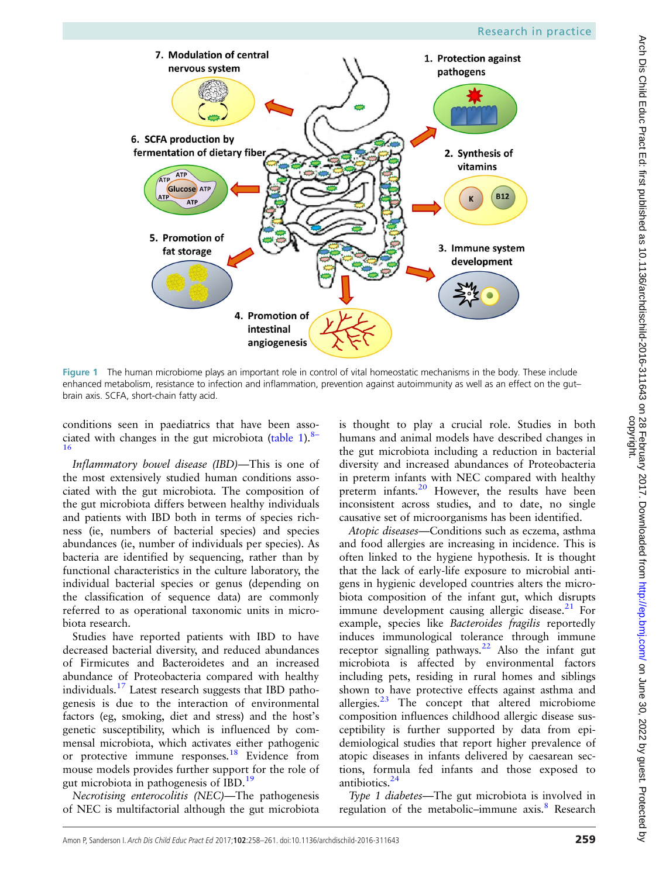<span id="page-1-0"></span>

Figure 1 The human microbiome plays an important role in control of vital homeostatic mechanisms in the body. These include enhanced metabolism, resistance to infection and inflammation, prevention against autoimmunity as well as an effect on the gut– brain axis. SCFA, short-chain fatty acid.

conditions seen in paediatrics that have been associated with changes in the gut microbiota ([table 1\)](#page-2-0). $8 8-$ [16](#page-2-0)

Inflammatory bowel disease (IBD)—This is one of the most extensively studied human conditions associated with the gut microbiota. The composition of the gut microbiota differs between healthy individuals and patients with IBD both in terms of species richness (ie, numbers of bacterial species) and species abundances (ie, number of individuals per species). As bacteria are identified by sequencing, rather than by functional characteristics in the culture laboratory, the individual bacterial species or genus (depending on the classification of sequence data) are commonly referred to as operational taxonomic units in microbiota research.

Studies have reported patients with IBD to have decreased bacterial diversity, and reduced abundances of Firmicutes and Bacteroidetes and an increased abundance of Proteobacteria compared with healthy individuals.[17](#page-3-0) Latest research suggests that IBD pathogenesis is due to the interaction of environmental factors (eg, smoking, diet and stress) and the host's genetic susceptibility, which is influenced by commensal microbiota, which activates either pathogenic or protective immune responses.<sup>[18](#page-3-0)</sup> Evidence from mouse models provides further support for the role of gut microbiota in pathogenesis of IBD.<sup>[19](#page-3-0)</sup>

Necrotising enterocolitis (NEC)—The pathogenesis of NEC is multifactorial although the gut microbiota

is thought to play a crucial role. Studies in both humans and animal models have described changes in the gut microbiota including a reduction in bacterial diversity and increased abundances of Proteobacteria in preterm infants with NEC compared with healthy preterm infants.<sup>[20](#page-3-0)</sup> However, the results have been inconsistent across studies, and to date, no single causative set of microorganisms has been identified.

Atopic diseases—Conditions such as eczema, asthma and food allergies are increasing in incidence. This is often linked to the hygiene hypothesis. It is thought that the lack of early-life exposure to microbial antigens in hygienic developed countries alters the microbiota composition of the infant gut, which disrupts immune development causing allergic disease. $21$  For example, species like Bacteroides fragilis reportedly induces immunological tolerance through immune receptor signalling pathways. $22$  Also the infant gut microbiota is affected by environmental factors including pets, residing in rural homes and siblings shown to have protective effects against asthma and allergies. $^{23}$  $^{23}$  $^{23}$  The concept that altered microbiome composition influences childhood allergic disease susceptibility is further supported by data from epidemiological studies that report higher prevalence of atopic diseases in infants delivered by caesarean sections, formula fed infants and those exposed to antibiotics.[24](#page-3-0)

Type 1 diabetes—The gut microbiota is involved in regulation of the metabolic–immune  $axis$ <sup>[8](#page-2-0)</sup> Research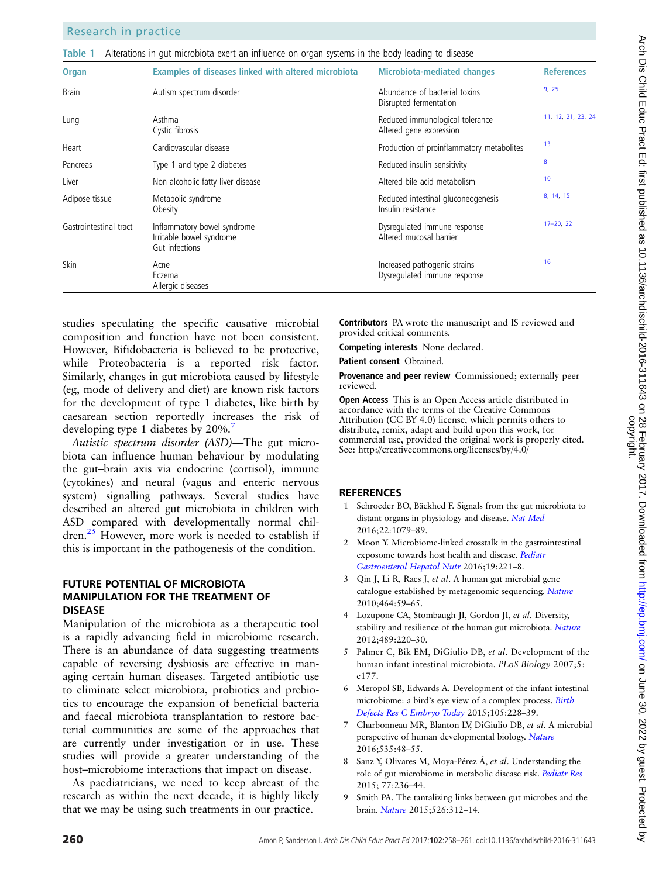<span id="page-2-0"></span>

|  | Table 1 Alterations in gut microbiota exert an influence on organ systems in the body leading to disease |  |  |  |  |  |
|--|----------------------------------------------------------------------------------------------------------|--|--|--|--|--|
|--|----------------------------------------------------------------------------------------------------------|--|--|--|--|--|

| <b>Organ</b>           | <b>Examples of diseases linked with altered microbiota</b>                                                                           | <b>Microbiota-mediated changes</b>                           | <b>References</b>  |
|------------------------|--------------------------------------------------------------------------------------------------------------------------------------|--------------------------------------------------------------|--------------------|
| <b>Brain</b>           | Abundance of bacterial toxins<br>Autism spectrum disorder<br>Disrupted fermentation                                                  |                                                              | 9, 25              |
| Lung                   | Asthma<br>Cystic fibrosis                                                                                                            | Reduced immunological tolerance<br>Altered gene expression   | 11, 12, 21, 23, 24 |
| Heart                  | Cardiovascular disease                                                                                                               | Production of proinflammatory metabolites                    | 13                 |
| Pancreas               | Type 1 and type 2 diabetes                                                                                                           | Reduced insulin sensitivity                                  | 8                  |
| Liver                  | Non-alcoholic fatty liver disease                                                                                                    | Altered bile acid metabolism                                 | 10                 |
| Adipose tissue         | Metabolic syndrome<br>Obesity                                                                                                        | Reduced intestinal gluconeogenesis<br>Insulin resistance     | 8, 14, 15          |
| Gastrointestinal tract | Inflammatory bowel syndrome<br>Dysregulated immune response<br>Altered mucosal barrier<br>Irritable bowel syndrome<br>Gut infections |                                                              | $17 - 20, 22$      |
| Skin                   | Acne<br>Eczema<br>Allergic diseases                                                                                                  | Increased pathogenic strains<br>Dysregulated immune response | 16                 |

studies speculating the specific causative microbial composition and function have not been consistent. However, Bifidobacteria is believed to be protective, while Proteobacteria is a reported risk factor. Similarly, changes in gut microbiota caused by lifestyle (eg, mode of delivery and diet) are known risk factors for the development of type 1 diabetes, like birth by caesarean section reportedly increases the risk of developing type 1 diabetes by 20%.<sup>7</sup>

Autistic spectrum disorder (ASD)—The gut microbiota can influence human behaviour by modulating the gut–brain axis via endocrine (cortisol), immune (cytokines) and neural (vagus and enteric nervous system) signalling pathways. Several studies have described an altered gut microbiota in children with ASD compared with developmentally normal chil-dren.<sup>[25](#page-3-0)</sup> However, more work is needed to establish if this is important in the pathogenesis of the condition.

### FUTURE POTENTIAL OF MICROBIOTA<br>MANIPULATION FOR THE TREATMENT OF **DISEASE**

Manipulation of the microbiota as a therapeutic tool is a rapidly advancing field in microbiome research. There is an abundance of data suggesting treatments capable of reversing dysbiosis are effective in managing certain human diseases. Targeted antibiotic use to eliminate select microbiota, probiotics and prebiotics to encourage the expansion of beneficial bacteria and faecal microbiota transplantation to restore bacterial communities are some of the approaches that are currently under investigation or in use. These studies will provide a greater understanding of the host–microbiome interactions that impact on disease.

As paediatricians, we need to keep abreast of the research as within the next decade, it is highly likely that we may be using such treatments in our practice.

Contributors PA wrote the manuscript and IS reviewed and provided critical comments.

Competing interests None declared.

Patient consent Obtained.

Provenance and peer review Commissioned; externally peer reviewed.

Open Access This is an Open Access article distributed in accordance with the terms of the Creative Commons Attribution (CC BY 4.0) license, which permits others to distribute, remix, adapt and build upon this work, for commercial use, provided the original work is properly cited. See:<http://creativecommons.org/licenses/by/4.0/>

#### **REFERENCES**

- 1 Schroeder BO, Bäckhed F. Signals from the gut microbiota to distant organs in physiology and disease. [Nat Med](http://dx.doi.org/10.1038/nm.4185) 2016;22:1079–89.
- 2 Moon Y. Microbiome-linked crosstalk in the gastrointestinal exposome towards host health and disease. [Pediatr](http://dx.doi.org/10.5223/pghn.2016.19.4.221) [Gastroenterol Hepatol Nutr](http://dx.doi.org/10.5223/pghn.2016.19.4.221) 2016;19:221–8.
- 3 Qin J, Li R, Raes J, et al. A human gut microbial gene catalogue established by metagenomic sequencing. [Nature](http://dx.doi.org/10.1038/nature08821) 2010;464:59–65.
- 4 Lozupone CA, Stombaugh JI, Gordon JI, et al. Diversity, stability and resilience of the human gut microbiota. [Nature](http://dx.doi.org/10.1038/nature11550) 2012;489:220–30.
- 5 Palmer C, Bik EM, DiGiulio DB, et al. Development of the human infant intestinal microbiota. PLoS Biology 2007;5: e177.
- 6 Meropol SB, Edwards A. Development of the infant intestinal microbiome: a bird's eye view of a complex process. [Birth](http://dx.doi.org/10.1002/bdrc.21114) [Defects Res C Embryo Today](http://dx.doi.org/10.1002/bdrc.21114) 2015;105:228–39.
- 7 Charbonneau MR, Blanton LV, DiGiulio DB, et al. A microbial perspective of human developmental biology. [Nature](http://dx.doi.org/10.1038/nature18845) 2016;535:48–55.
- 8 Sanz Y, Olivares M, Moya-Pérez Á, et al. Understanding the role of gut microbiome in metabolic disease risk. [Pediatr Res](http://dx.doi.org/10.1038/pr.2014.170) 2015; 77:236–44.
- 9 Smith PA. The tantalizing links between gut microbes and the brain. [Nature](http://dx.doi.org/10.1038/526312a) 2015;526:312–14.